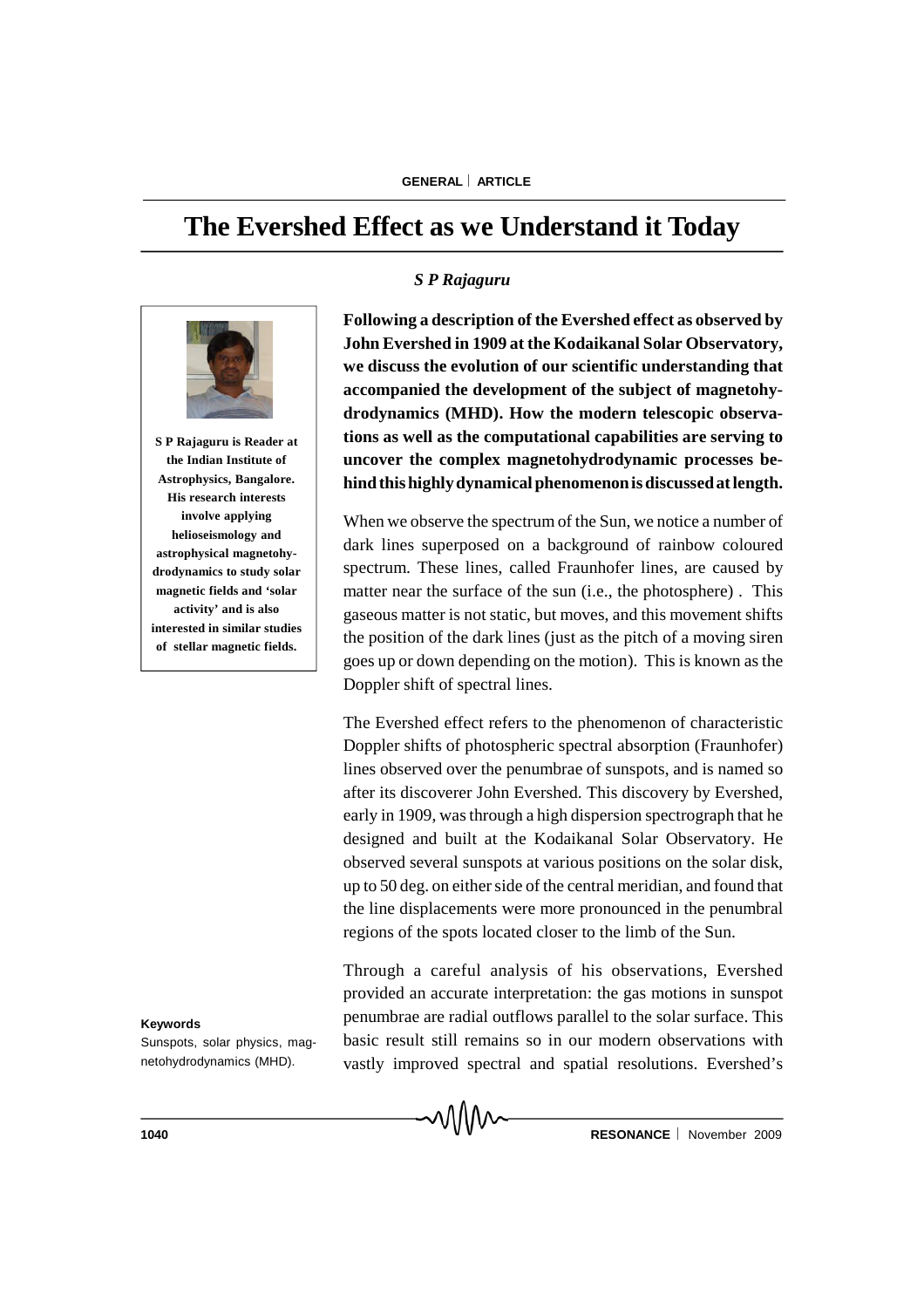# **The Evershed Effect as we Understand it Today**

## *S P Rajaguru*



**S P Rajaguru is Reader at the Indian Institute of Astrophysics, Bangalore. His research interests involve applying helioseismology and astrophysical magnetohydrodynamics to study solar magnetic fields and 'solar activity' and is also interested in similar studies of stellar magnetic fields.**

**Following a description of the Evershed effect as observed by John Evershed in 1909 at the Kodaikanal Solar Observatory, we discuss the evolution of our scientific understanding that accompanied the development of the subject of magnetohydrodynamics (MHD). How the modern telescopic observations as well as the computational capabilities are serving to uncover the complex magnetohydrodynamic processes behind this highlydynamical phenomenonis discussedat length.**

When we observe the spectrum of the Sun, we notice a number of dark lines superposed on a background of rainbow coloured spectrum. These lines, called Fraunhofer lines, are caused by matter near the surface of the sun (i.e., the photosphere) . This gaseous matter is not static, but moves, and this movement shifts the position of the dark lines (just as the pitch of a moving siren goes up or down depending on the motion). This is known as the Doppler shift of spectral lines.

The Evershed effect refers to the phenomenon of characteristic Doppler shifts of photospheric spectral absorption (Fraunhofer) lines observed over the penumbrae of sunspots, and is named so after its discoverer John Evershed. This discovery by Evershed, early in 1909, was through a high dispersion spectrograph that he designed and built at the Kodaikanal Solar Observatory. He observed several sunspots at various positions on the solar disk, up to 50 deg. on either side of the central meridian, and found that the line displacements were more pronounced in the penumbral regions of the spots located closer to the limb of the Sun.

Through a careful analysis of his observations, Evershed provided an accurate interpretation: the gas motions in sunspot penumbrae are radial outflows parallel to the solar surface. This basic result still remains so in our modern observations with vastly improved spectral and spatial resolutions. Evershed's

**Keywords**

Sunspots, solar physics, magnetohydrodynamics (MHD).

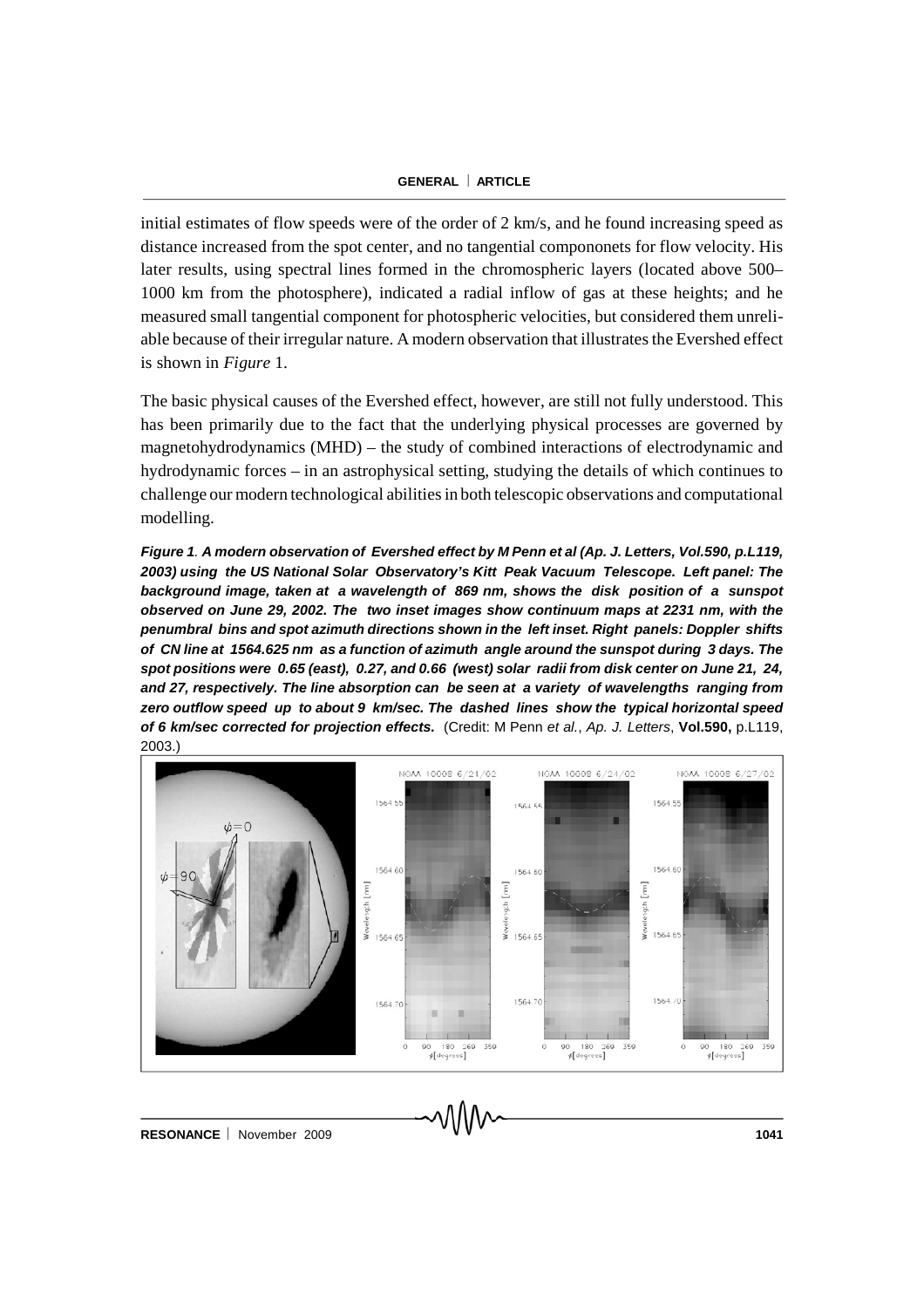## **GENERAL ARTICLE**

initial estimates of flow speeds were of the order of 2 km/s, and he found increasing speed as distance increased from the spot center, and no tangential compononets for flow velocity. His later results, using spectral lines formed in the chromospheric layers (located above 500– 1000 km from the photosphere), indicated a radial inflow of gas at these heights; and he measured small tangential component for photospheric velocities, but considered them unreliable because of their irregular nature. A modern observation that illustrates the Evershed effect is shown in *Figure* 1.

The basic physical causes of the Evershed effect, however, are still not fully understood. This has been primarily due to the fact that the underlying physical processes are governed by magnetohydrodynamics (MHD) – the study of combined interactions of electrodynamic and hydrodynamic forces – in an astrophysical setting, studying the details of which continues to challenge our modern technological abilities in both telescopic observations and computational modelling.

*Figure 1. A modern observation of Evershed effect by M Penn et al (Ap. J. Letters, Vol.590, p.L119, 2003) using the US National Solar Observatory's Kitt Peak Vacuum Telescope. Left panel: The background image, taken at a wavelength of 869 nm, shows the disk position of a sunspot observed on June 29, 2002. The two inset images show continuum maps at 2231 nm, with the penumbral bins and spot azimuth directions shown in the left inset. Right panels: Doppler shifts of CN line at 1564.625 nm as a function of azimuth angle around the sunspot during 3 days. The spot positions were 0.65 (east), 0.27, and 0.66 (west) solar radii from disk center on June 21, 24, and 27, respectively. The line absorption can be seen at a variety of wavelengths ranging from zero outflow speed up to about 9 km/sec. The dashed lines show the typical horizontal speed of 6 km/sec corrected for projection effects.* (Credit: M Penn *et al.*, *Ap. J. Letters*, **Vol.590,** p.L119, 2003.)



**RESONANCE** November 2009 **1041 1041**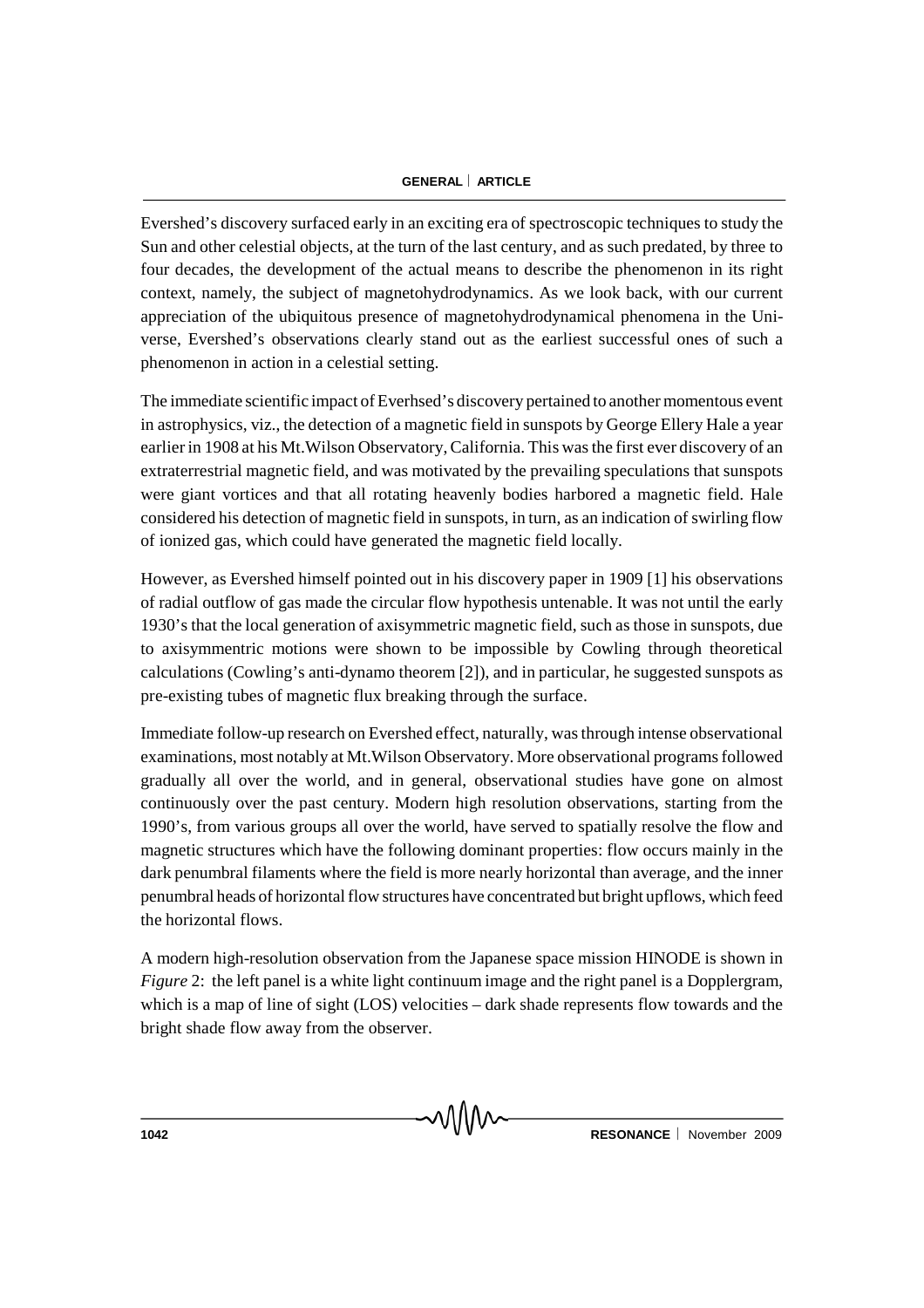# **GENERAL ARTICLE**

Evershed's discovery surfaced early in an exciting era of spectroscopic techniques to study the Sun and other celestial objects, at the turn of the last century, and as such predated, by three to four decades, the development of the actual means to describe the phenomenon in its right context, namely, the subject of magnetohydrodynamics. As we look back, with our current appreciation of the ubiquitous presence of magnetohydrodynamical phenomena in the Universe, Evershed's observations clearly stand out as the earliest successful ones of such a phenomenon in action in a celestial setting.

The immediate scientific impact of Everhsed's discovery pertained to another momentous event in astrophysics, viz., the detection of a magnetic field in sunspots by George Ellery Hale a year earlier in 1908 at his Mt.Wilson Observatory, California. This was the first ever discovery of an extraterrestrial magnetic field, and was motivated by the prevailing speculations that sunspots were giant vortices and that all rotating heavenly bodies harbored a magnetic field. Hale considered his detection of magnetic field in sunspots, in turn, as an indication of swirling flow of ionized gas, which could have generated the magnetic field locally.

However, as Evershed himself pointed out in his discovery paper in 1909 [1] his observations of radial outflow of gas made the circular flow hypothesis untenable. It was not until the early 1930's that the local generation of axisymmetric magnetic field, such as those in sunspots, due to axisymmentric motions were shown to be impossible by Cowling through theoretical calculations (Cowling's anti-dynamo theorem [2]), and in particular, he suggested sunspots as pre-existing tubes of magnetic flux breaking through the surface.

Immediate follow-up research on Evershed effect, naturally, was through intense observational examinations, most notably at Mt.Wilson Observatory. More observational programs followed gradually all over the world, and in general, observational studies have gone on almost continuously over the past century. Modern high resolution observations, starting from the 1990's, from various groups all over the world, have served to spatially resolve the flow and magnetic structures which have the following dominant properties: flow occurs mainly in the dark penumbral filaments where the field is more nearly horizontal than average, and the inner penumbral heads of horizontal flow structures have concentrated but bright upflows, which feed the horizontal flows.

A modern high-resolution observation from the Japanese space mission HINODE is shown in *Figure* 2: the left panel is a white light continuum image and the right panel is a Dopplergram, which is a map of line of sight (LOS) velocities – dark shade represents flow towards and the bright shade flow away from the observer.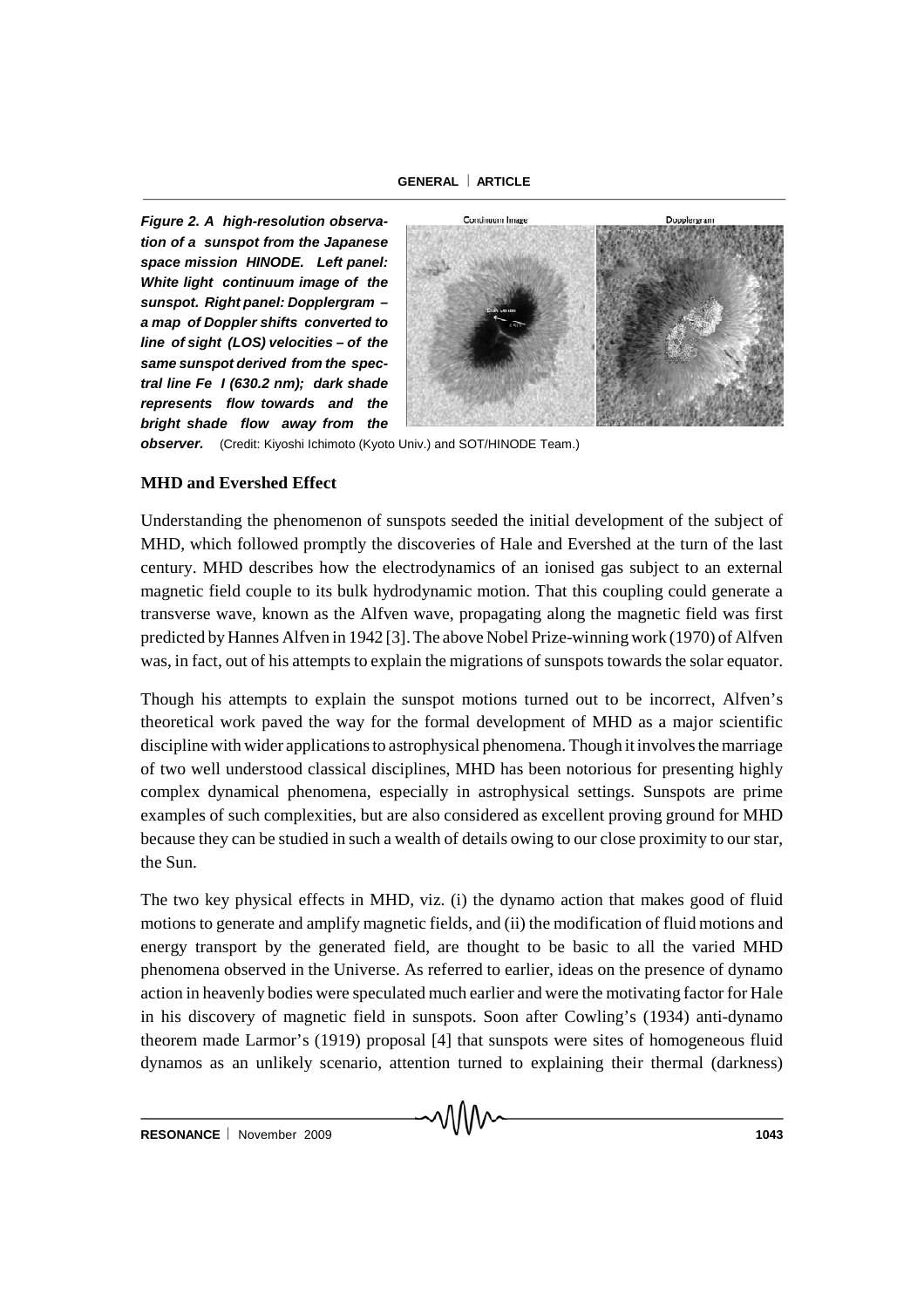*Figure 2. A high-resolution observation of a sunspot from the Japanese space mission HINODE. Left panel: White light continuum image of the sunspot. Right panel: Dopplergram – a map of Doppler shifts converted to line of sight (LOS) velocities – of the same sunspot derived from the spectral line Fe I (630.2 nm); dark shade represents flow towards and the bright shade flow away from the*



*observer.* (Credit: Kiyoshi Ichimoto (Kyoto Univ.) and SOT/HINODE Team.)

# **MHD and Evershed Effect**

Understanding the phenomenon of sunspots seeded the initial development of the subject of MHD, which followed promptly the discoveries of Hale and Evershed at the turn of the last century. MHD describes how the electrodynamics of an ionised gas subject to an external magnetic field couple to its bulk hydrodynamic motion. That this coupling could generate a transverse wave, known as the Alfven wave, propagating along the magnetic field was first predicted by Hannes Alfven in 1942 [3]. The above Nobel Prize-winning work (1970) of Alfven was, in fact, out of his attempts to explain the migrations of sunspots towards the solar equator.

Though his attempts to explain the sunspot motions turned out to be incorrect, Alfven's theoretical work paved the way for the formal development of MHD as a major scientific discipline with wider applications to astrophysical phenomena. Though it involves the marriage of two well understood classical disciplines, MHD has been notorious for presenting highly complex dynamical phenomena, especially in astrophysical settings. Sunspots are prime examples of such complexities, but are also considered as excellent proving ground for MHD because they can be studied in such a wealth of details owing to our close proximity to our star, the Sun.

The two key physical effects in MHD, viz. (i) the dynamo action that makes good of fluid motions to generate and amplify magnetic fields, and (ii) the modification of fluid motions and energy transport by the generated field, are thought to be basic to all the varied MHD phenomena observed in the Universe. As referred to earlier, ideas on the presence of dynamo action in heavenly bodies were speculated much earlier and were the motivating factor for Hale in his discovery of magnetic field in sunspots. Soon after Cowling's (1934) anti-dynamo theorem made Larmor's (1919) proposal [4] that sunspots were sites of homogeneous fluid dynamos as an unlikely scenario, attention turned to explaining their thermal (darkness)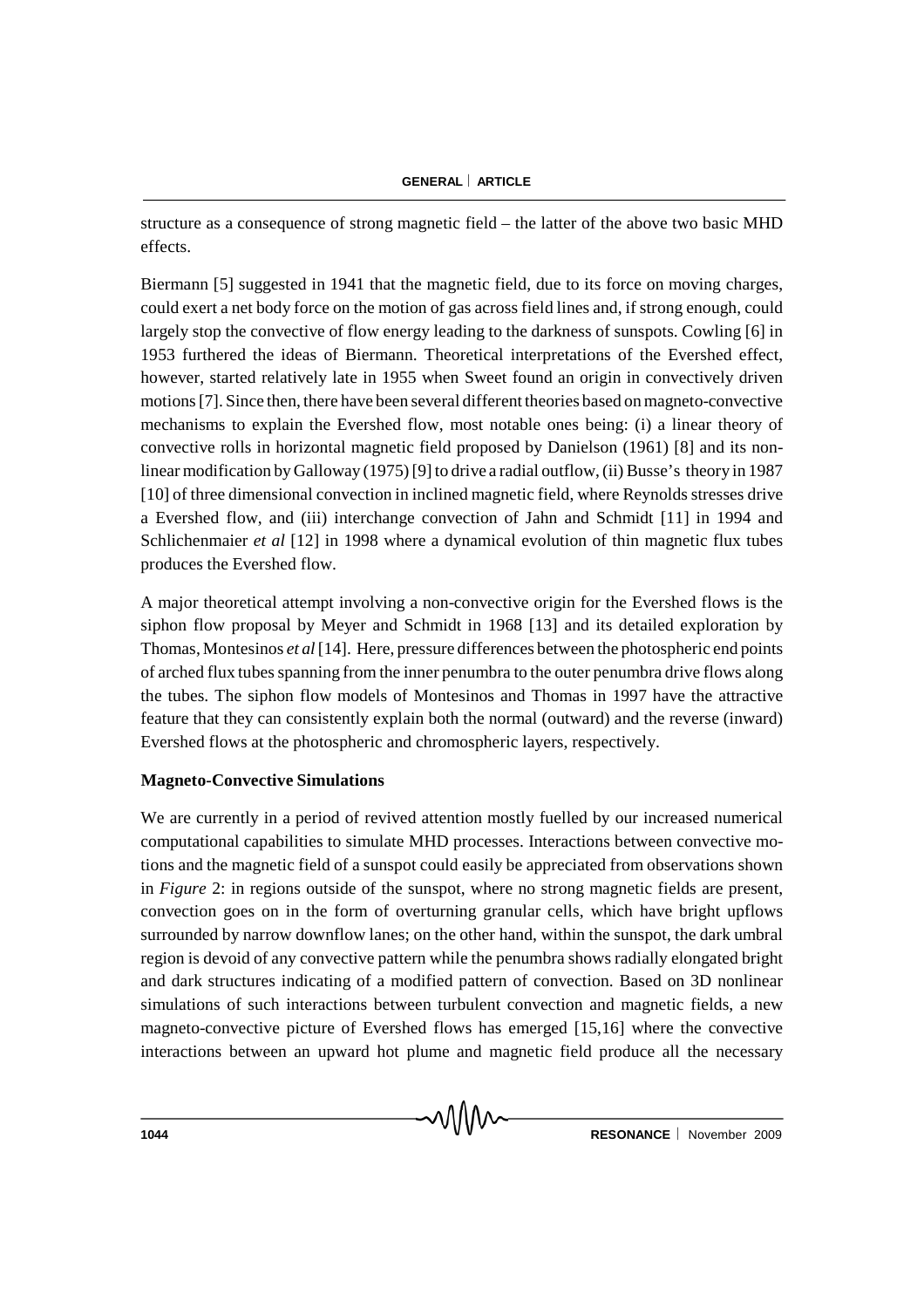# **GENERAL ARTICLE**

structure as a consequence of strong magnetic field – the latter of the above two basic MHD effects.

Biermann [5] suggested in 1941 that the magnetic field, due to its force on moving charges, could exert a net body force on the motion of gas across field lines and, if strong enough, could largely stop the convective of flow energy leading to the darkness of sunspots. Cowling [6] in 1953 furthered the ideas of Biermann. Theoretical interpretations of the Evershed effect, however, started relatively late in 1955 when Sweet found an origin in convectively driven motions [7]. Since then, there have been several different theories based on magneto-convective mechanisms to explain the Evershed flow, most notable ones being: (i) a linear theory of convective rolls in horizontal magnetic field proposed by Danielson (1961) [8] and its nonlinear modification by Galloway (1975) [9] to drive a radial outflow, (ii) Busse's theory in 1987 [10] of three dimensional convection in inclined magnetic field, where Reynolds stresses drive a Evershed flow, and (iii) interchange convection of Jahn and Schmidt [11] in 1994 and Schlichenmaier *et al* [12] in 1998 where a dynamical evolution of thin magnetic flux tubes produces the Evershed flow.

A major theoretical attempt involving a non-convective origin for the Evershed flows is the siphon flow proposal by Meyer and Schmidt in 1968 [13] and its detailed exploration by Thomas, Montesinos *et al* [14]. Here, pressure differences between the photospheric end points of arched flux tubes spanning from the inner penumbra to the outer penumbra drive flows along the tubes. The siphon flow models of Montesinos and Thomas in 1997 have the attractive feature that they can consistently explain both the normal (outward) and the reverse (inward) Evershed flows at the photospheric and chromospheric layers, respectively.

#### **Magneto-Convective Simulations**

We are currently in a period of revived attention mostly fuelled by our increased numerical computational capabilities to simulate MHD processes. Interactions between convective motions and the magnetic field of a sunspot could easily be appreciated from observations shown in *Figure* 2: in regions outside of the sunspot, where no strong magnetic fields are present, convection goes on in the form of overturning granular cells, which have bright upflows surrounded by narrow downflow lanes; on the other hand, within the sunspot, the dark umbral region is devoid of any convective pattern while the penumbra shows radially elongated bright and dark structures indicating of a modified pattern of convection. Based on 3D nonlinear simulations of such interactions between turbulent convection and magnetic fields, a new magneto-convective picture of Evershed flows has emerged [15,16] where the convective interactions between an upward hot plume and magnetic field produce all the necessary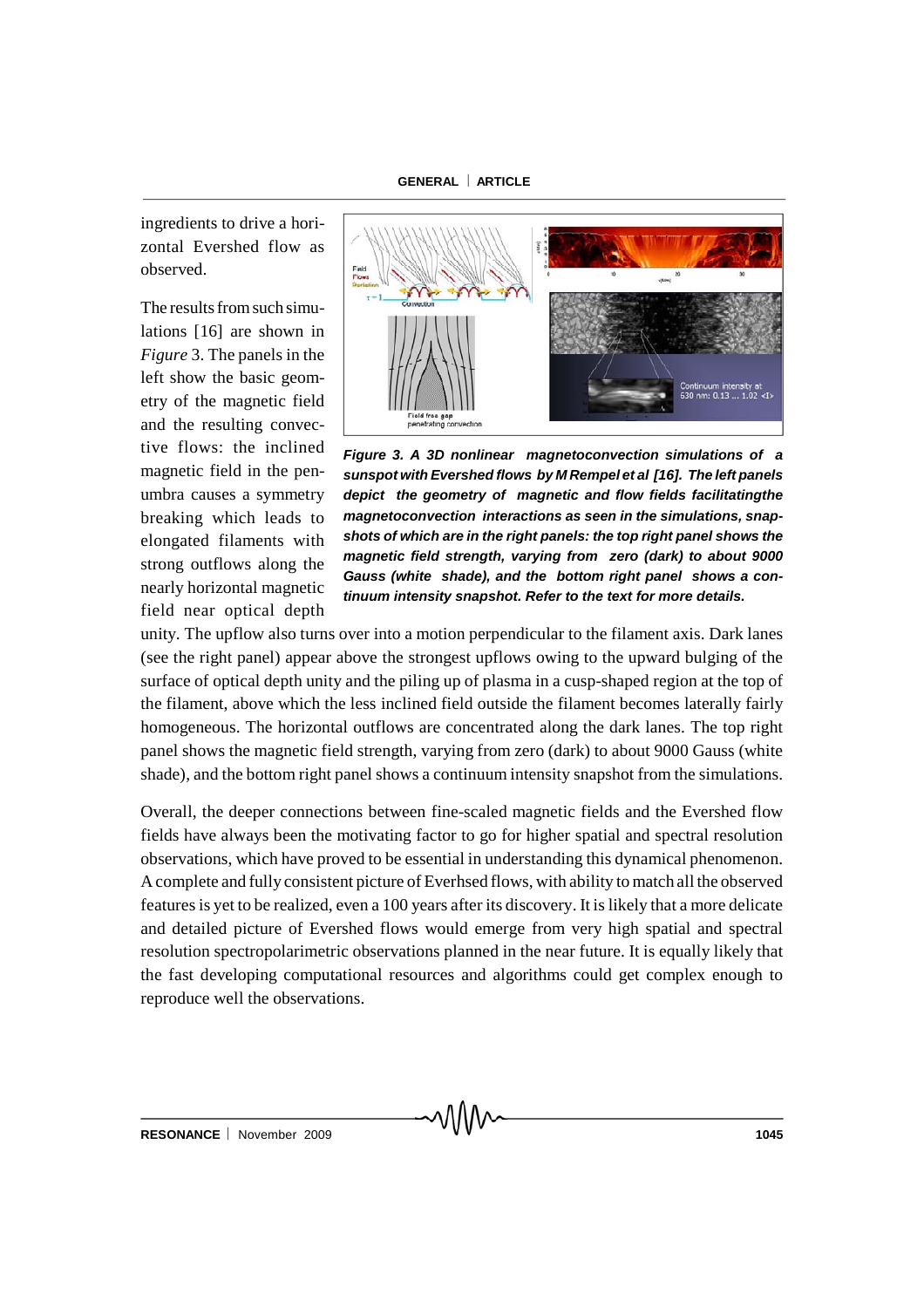ingredients to drive a horizontal Evershed flow as observed.

The results from such simulations [16] are shown in *Figure* 3. The panels in the left show the basic geometry of the magnetic field and the resulting convective flows: the inclined magnetic field in the penumbra causes a symmetry breaking which leads to elongated filaments with strong outflows along the nearly horizontal magnetic field near optical depth



*Figure 3. A 3D nonlinear magnetoconvection simulations of a sunspot with Evershed flows by M Rempel et al [16]. The left panels depict the geometry of magnetic and flow fields facilitatingthe magnetoconvection interactions as seen in the simulations, snapshots of which are in the right panels: the top right panel shows the magnetic field strength, varying from zero (dark) to about 9000 Gauss (white shade), and the bottom right panel shows a continuum intensity snapshot. Refer to the text for more details.*

unity. The upflow also turns over into a motion perpendicular to the filament axis. Dark lanes (see the right panel) appear above the strongest upflows owing to the upward bulging of the surface of optical depth unity and the piling up of plasma in a cusp-shaped region at the top of the filament, above which the less inclined field outside the filament becomes laterally fairly homogeneous. The horizontal outflows are concentrated along the dark lanes. The top right panel shows the magnetic field strength, varying from zero (dark) to about 9000 Gauss (white shade), and the bottom right panel shows a continuum intensity snapshot from the simulations.

Overall, the deeper connections between fine-scaled magnetic fields and the Evershed flow fields have always been the motivating factor to go for higher spatial and spectral resolution observations, which have proved to be essential in understanding this dynamical phenomenon. A complete and fully consistent picture of Everhsed flows, with ability to match all the observed features is yet to be realized, even a 100 years after its discovery. It is likely that a more delicate and detailed picture of Evershed flows would emerge from very high spatial and spectral resolution spectropolarimetric observations planned in the near future. It is equally likely that the fast developing computational resources and algorithms could get complex enough to reproduce well the observations.